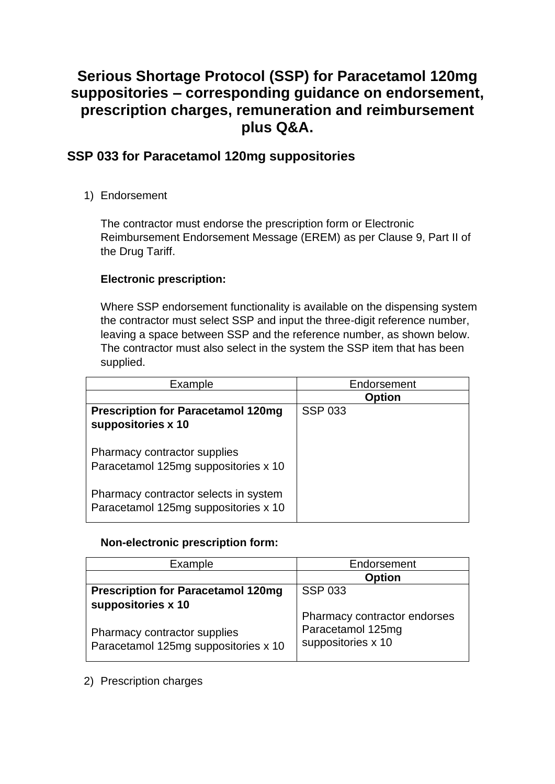# **Serious Shortage Protocol (SSP) for Paracetamol 120mg suppositories – corresponding guidance on endorsement, prescription charges, remuneration and reimbursement plus Q&A.**

## **SSP 033 for Paracetamol 120mg suppositories**

1) Endorsement

The contractor must endorse the prescription form or Electronic Reimbursement Endorsement Message (EREM) as per Clause 9, Part II of the Drug Tariff.

### **Electronic prescription:**

Where SSP endorsement functionality is available on the dispensing system the contractor must select SSP and input the three-digit reference number, leaving a space between SSP and the reference number, as shown below. The contractor must also select in the system the SSP item that has been supplied.

| Example                                                                       | Endorsement    |
|-------------------------------------------------------------------------------|----------------|
|                                                                               | <b>Option</b>  |
| <b>Prescription for Paracetamol 120mg</b><br>suppositories x 10               | <b>SSP 033</b> |
| <b>Pharmacy contractor supplies</b><br>Paracetamol 125mg suppositories x 10   |                |
| Pharmacy contractor selects in system<br>Paracetamol 125mg suppositories x 10 |                |

### **Non-electronic prescription form:**

| Example                                                                                    | Endorsement                                                             |
|--------------------------------------------------------------------------------------------|-------------------------------------------------------------------------|
|                                                                                            | <b>Option</b>                                                           |
| <b>Prescription for Paracetamol 120mg</b>                                                  | <b>SSP 033</b>                                                          |
| suppositories x 10<br>Pharmacy contractor supplies<br>Paracetamol 125mg suppositories x 10 | Pharmacy contractor endorses<br>Paracetamol 125mg<br>suppositories x 10 |

### 2) Prescription charges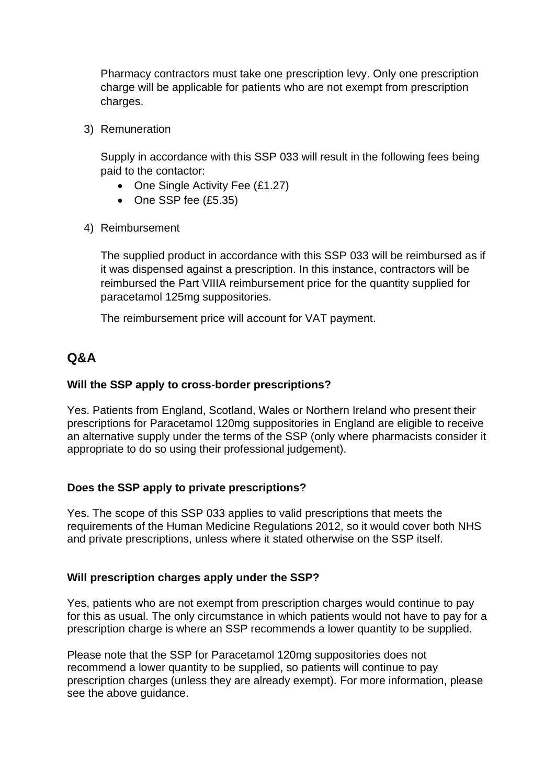Pharmacy contractors must take one prescription levy. Only one prescription charge will be applicable for patients who are not exempt from prescription charges.

3) Remuneration

Supply in accordance with this SSP 033 will result in the following fees being paid to the contactor:

- One Single Activity Fee (£1.27)
- One SSP fee (£5.35)
- 4) Reimbursement

The supplied product in accordance with this SSP 033 will be reimbursed as if it was dispensed against a prescription. In this instance, contractors will be reimbursed the Part VIIIA reimbursement price for the quantity supplied for paracetamol 125mg suppositories.

The reimbursement price will account for VAT payment.

## **Q&A**

#### **Will the SSP apply to cross-border prescriptions?**

Yes. Patients from England, Scotland, Wales or Northern Ireland who present their prescriptions for Paracetamol 120mg suppositories in England are eligible to receive an alternative supply under the terms of the SSP (only where pharmacists consider it appropriate to do so using their professional judgement).

### **Does the SSP apply to private prescriptions?**

Yes. The scope of this SSP 033 applies to valid prescriptions that meets the requirements of the Human Medicine Regulations 2012, so it would cover both NHS and private prescriptions, unless where it stated otherwise on the SSP itself.

### **Will prescription charges apply under the SSP?**

Yes, patients who are not exempt from prescription charges would continue to pay for this as usual. The only circumstance in which patients would not have to pay for a prescription charge is where an SSP recommends a lower quantity to be supplied.

Please note that the SSP for Paracetamol 120mg suppositories does not recommend a lower quantity to be supplied, so patients will continue to pay prescription charges (unless they are already exempt). For more information, please see the above guidance.